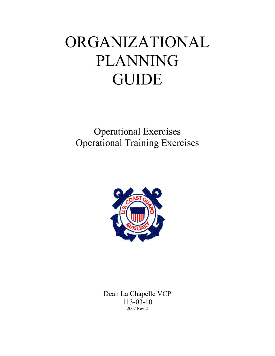# ORGANIZATIONAL PLANNING **GUIDE**

Operational Exercises Operational Training Exercises



Dean La Chapelle VCP 113-03-10 2007 Rev-2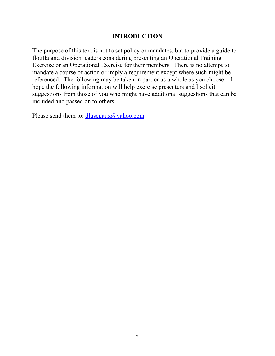#### **INTRODUCTION**

The purpose of this text is not to set policy or mandates, but to provide a guide to flotilla and division leaders considering presenting an Operational Training Exercise or an Operational Exercise for their members. There is no attempt to mandate a course of action or imply a requirement except where such might be referenced. The following may be taken in part or as a whole as you choose. I hope the following information will help exercise presenters and I solicit suggestions from those of you who might have additional suggestions that can be included and passed on to others.

Please send them to: dluscgaux@yahoo.com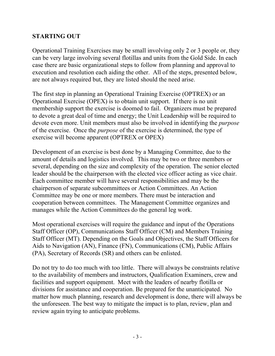#### **STARTING OUT**

Operational Training Exercises may be small involving only 2 or 3 people or, they can be very large involving several flotillas and units from the Gold Side. In each case there are basic organizational steps to follow from planning and approval to execution and resolution each aiding the other. All of the steps, presented below, are not always required but, they are listed should the need arise.

The first step in planning an Operational Training Exercise (OPTREX) or an Operational Exercise (OPEX) is to obtain unit support. If there is no unit membership support the exercise is doomed to fail. Organizers must be prepared to devote a great deal of time and energy; the Unit Leadership will be required to devote even more. Unit members must also be involved in identifying the *purpose* of the exercise. Once the *purpose* of the exercise is determined, the type of exercise will become apparent (OPTREX or OPEX)

Development of an exercise is best done by a Managing Committee, due to the amount of details and logistics involved. This may be two or three members or several, depending on the size and complexity of the operation. The senior elected leader should be the chairperson with the elected vice officer acting as vice chair. Each committee member will have several responsibilities and may be the chairperson of separate subcommittees or Action Committees. An Action Committee may be one or more members. There must be interaction and cooperation between committees. The Management Committee organizes and manages while the Action Committees do the general leg work.

Most operational exercises will require the guidance and input of the Operations Staff Officer (OP), Communications Staff Officer (CM) and Members Training Staff Officer (MT). Depending on the Goals and Objectives, the Staff Officers for Aids to Navigation (AN), Finance (FN), Communications (CM), Public Affairs (PA), Secretary of Records (SR) and others can be enlisted.

Do not try to do too much with too little. There will always be constraints relative to the availability of members and instructors, Qualification Examiners, crew and facilities and support equipment. Meet with the leaders of nearby flotilla or divisions for assistance and cooperation. Be prepared for the unanticipated. No matter how much planning, research and development is done, there will always be the unforeseen. The best way to mitigate the impact is to plan, review, plan and review again trying to anticipate problems.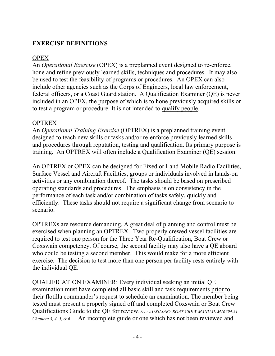## **EXERCISE DEFINITIONS**

## **OPEX**

An *Operational Exercise* (OPEX) is a preplanned event designed to re-enforce, hone and refine previously learned skills, techniques and procedures. It may also be used to test the feasibility of programs or procedures. An OPEX can also include other agencies such as the Corps of Engineers, local law enforcement, federal officers, or a Coast Guard station. A Qualification Examiner (QE) is never included in an OPEX, the purpose of which is to hone previously acquired skills or to test a program or procedure. It is not intended to qualify people.

# **OPTREX**

An *Operational Training Exercise* (OPTREX) is a preplanned training event designed to teach new skills or tasks and/or re-enforce previously learned skills and procedures through reputation, testing and qualification. Its primary purpose is training. An OPTREX will often include a Qualification Examiner (QE) session.

An OPTREX or OPEX can be designed for Fixed or Land Mobile Radio Facilities, Surface Vessel and Aircraft Facilities, groups or individuals involved in hands-on activities or any combination thereof. The tasks should be based on prescribed operating standards and procedures. The emphasis is on consistency in the performance of each task and/or combination of tasks safely, quickly and efficiently. These tasks should not require a significant change from scenario to scenario.

OPTREXs are resource demanding. A great deal of planning and control must be exercised when planning an OPTREX. Two properly crewed vessel facilities are required to test one person for the Three Year Re-Qualification, Boat Crew or Coxswain competency. Of course, the second facility may also have a QE aboard who could be testing a second member. This would make for a more efficient exercise. The decision to test more than one person per facility rests entirely with the individual QE.

QUALIFICATION EXAMINER: Every individual seeking an initial QE examination must have completed all basic skill and task requirements prior to their flotilla commander's request to schedule an examination. The member being tested must present a properly signed off and completed Coxswain or Boat Crew Qualifications Guide to the QE for review. *See: AUXILIARY BOAT CREW MANUAL M16794.51 Chapters 3, 4, 5, & 6*. An incomplete guide or one which has not been reviewed and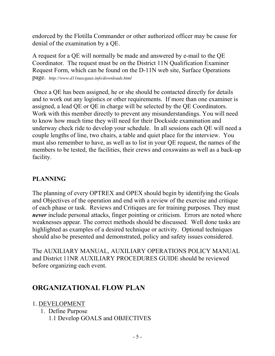endorced by the Flotilla Commander or other authorized officer may be cause for denial of the examination by a QE.

A request for a QE will normally be made and answered by e-mail to the QE Coordinator. The request must be on the District 11N Qualification Examiner Request Form, which can be found on the D-11N web site, Surface Operations page. *http://www.d11nuscgaux.info/downloads.html*

 Once a QE has been assigned, he or she should be contacted directly for details and to work out any logistics or other requirements. If more than one examiner is assigned, a lead QE or QE in charge will be selected by the QE Coordinators. Work with this member directly to prevent any misunderstandings. You will need to know how much time they will need for their Dockside examination and underway check ride to develop your schedule. In all sessions each QE will need a couple lengths of line, two chairs, a table and quiet place for the interview. You must also remember to have, as well as to list in your QE request, the names of the members to be tested, the facilities, their crews and coxswains as well as a back-up facility.

# **PLANNING**

The planning of every OPTREX and OPEX should begin by identifying the Goals and Objectives of the operation and end with a review of the exercise and critique of each phase or task. Reviews and Critiques are for training purposes. They must *never* include personal attacks, finger pointing or criticism. Errors are noted where weaknesses appear. The correct methods should be discussed. Well done tasks are highlighted as examples of a desired technique or activity. Optional techniques should also be presented and demonstrated, policy and safety issues considered.

The AUXILIARY MANUAL, AUXILIARY OPERATIONS POLICY MANUAL and District 11NR AUXILIARY PROCEDURES GUIDE should be reviewed before organizing each event.

# **ORGANIZATIONAL FLOW PLAN**

1. DEVELOPMENT

1. Define Purpose 1.1 Develop GOALS and OBJECTIVES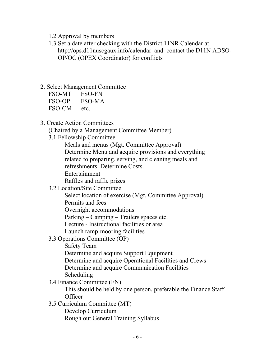- 1.2 Approval by members
- 1.3 Set a date after checking with the District 11NR Calendar at http://ops.d11nuscgaux.info/calendar and contact the D11N ADSO-OP/OC (OPEX Coordinator) for conflicts
- 2. Select Management Committee

| FSO-MT | FSO-FN |
|--------|--------|
| FSO-OP | FSO-MA |
| FSO-CM | etc.   |

3. Create Action Committees

(Chaired by a Management Committee Member)

3.1 Fellowship Committee

 Meals and menus (Mgt. Committee Approval) Determine Menu and acquire provisions and everything related to preparing, serving, and cleaning meals and refreshments. Determine Costs.

Entertainment

Raffles and raffle prizes

3.2 Location/Site Committee

Select location of exercise (Mgt. Committee Approval)

Permits and fees

Overnight accommodations

Parking – Camping – Trailers spaces etc.

Lecture - Instructional facilities or area

- Launch ramp-mooring facilities
- 3.3 Operations Committee (OP)

Safety Team

Determine and acquire Support Equipment

Determine and acquire Operational Facilities and Crews

Determine and acquire Communication Facilities

Scheduling

3.4 Finance Committee (FN)

This should be held by one person, preferable the Finance Staff **Officer** 

 3.5 Curriculum Committee (MT) Develop Curriculum Rough out General Training Syllabus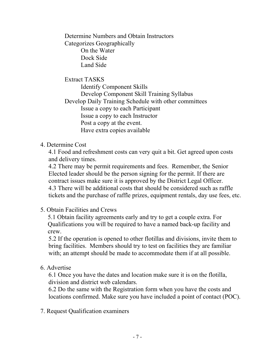Determine Numbers and Obtain Instructors Categorizes Geographically On the Water Dock Side Land Side

 Extract TASKS Identify Component Skills Develop Component Skill Training Syllabus Develop Daily Training Schedule with other committees Issue a copy to each Participant Issue a copy to each Instructor Post a copy at the event. Have extra copies available

4. Determine Cost

 4.1 Food and refreshment costs can very quit a bit. Get agreed upon costs and delivery times.

 4.2 There may be permit requirements and fees. Remember, the Senior Elected leader should be the person signing for the permit. If there are contract issues make sure it is approved by the District Legal Officer. 4.3 There will be additional costs that should be considered such as raffle tickets and the purchase of raffle prizes, equipment rentals, day use fees, etc.

5. Obtain Facilities and Crews

5.1 Obtain facility agreements early and try to get a couple extra. For Qualifications you will be required to have a named back-up facility and crew.

 5.2 If the operation is opened to other flotillas and divisions, invite them to bring facilities. Members should try to test on facilities they are familiar with; an attempt should be made to accommodate them if at all possible.

#### 6. Advertise

 6.1 Once you have the dates and location make sure it is on the flotilla, division and district web calendars.

 6.2 Do the same with the Registration form when you have the costs and locations confirmed. Make sure you have included a point of contact (POC).

7. Request Qualification examiners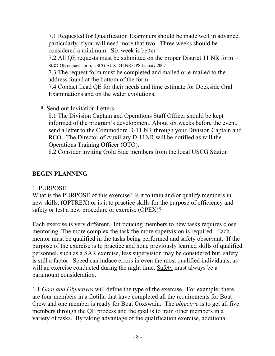7.1 Requested for Qualification Examiners should be made well in advance, particularly if you will need more that two. Three weeks should be considered a minimum. Six week is better

 7.2 All QE requests must be submitted on the proper District 11 NR form – see: QE request form: USCG AUX D11NR OPS January 2007

7.3 The request form must be completed and mailed or e-mailed to the address found at the bottom of the form.

 7.4 Contact Lead QE for their needs and time estimate for Dockside Oral Examinations and on the water evolutions.

8. Send out Invitation Letters

 8.1 The Division Captain and Operations Staff Officer should be kept informed of the program's development. About six weeks before the event, send a letter to the Commodore D-11 NR through your Division Captain and RCO. The Director of Auxiliary D-11NR will be notified as will the Operations Training Officer (OTO).

8.2 Consider inviting Gold Side members from the local USCG Station

#### **BEGIN PLANNING**

#### 1. PURPOSE

What is the PURPOSE of this exercise? Is it to train and/or qualify members in new skills, (OPTREX) or is it to practice skills for the purpose of efficiency and safety or test a new procedure or exercise (OPEX)?

Each exercise is very different. Introducing members to new tasks requires close mentoring. The more complex the task the more supervision is required. Each mentor must be qualified in the tasks being performed and safety observant. If the purpose of the exercise is to practice and hone previously learned skills of qualified personnel, such as a SAR exercise, less supervision may be considered but, safety is still a factor. Speed can induce errors in even the most qualified individuals, as will an exercise conducted during the night time. Safety must always be a paramount consideration.

1.1 *Goal and Objectives* will define the type of the exercise. For example: there are four members in a flotilla that have completed all the requirements for Boat Crew and one member is ready for Boat Coxswain. The *objective* is to get all five members through the QE process and the goal is to train other members in a variety of tasks. By taking advantage of the qualification exercise, additional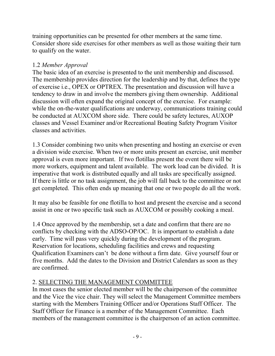training opportunities can be presented for other members at the same time. Consider shore side exercises for other members as well as those waiting their turn to qualify on the water.

#### 1.2 *Member Approval*

The basic idea of an exercise is presented to the unit membership and discussed. The membership provides direction for the leadership and by that, defines the type of exercise i.e., OPEX or OPTREX. The presentation and discussion will have a tendency to draw in and involve the members giving them ownership. Additional discussion will often expand the original concept of the exercise. For example: while the on-the-water qualifications are underway, communications training could be conducted at AUXCOM shore side. There could be safety lectures, AUXOP classes and Vessel Examiner and/or Recreational Boating Safety Program Visitor classes and activities.

1.3 Consider combining two units when presenting and hosting an exercise or even a division wide exercise. When two or more units present an exercise, unit member approval is even more important. If two flotillas present the event there will be more workers, equipment and talent available. The work load can be divided. It is imperative that work is distributed equally and all tasks are specifically assigned. If there is little or no task assignment, the job will fall back to the committee or not get completed. This often ends up meaning that one or two people do all the work.

It may also be feasible for one flotilla to host and present the exercise and a second assist in one or two specific task such as AUXCOM or possibly cooking a meal.

1.4 Once approved by the membership, set a date and confirm that there are no conflicts by checking with the ADSO-OP/OC. It is important to establish a date early. Time will pass very quickly during the development of the program. Reservation for locations, scheduling facilities and crews and requesting Qualification Examiners can't be done without a firm date. Give yourself four or five months. Add the dates to the Division and District Calendars as soon as they are confirmed.

#### 2. SELECTING THE MANAGEMENT COMMITTEE

In most cases the senior elected member will be the chairperson of the committee and the Vice the vice chair. They will select the Management Committee members starting with the Members Training Officer and/or Operations Staff Officer. The Staff Officer for Finance is a member of the Management Committee. Each members of the management committee is the chairperson of an action committee.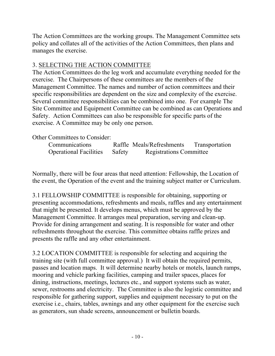The Action Committees are the working groups. The Management Committee sets policy and collates all of the activities of the Action Committees, then plans and manages the exercise.

# 3. SELECTING THE ACTION COMMITTEE

The Action Committees do the leg work and accumulate everything needed for the exercise. The Chairpersons of these committees are the members of the Management Committee. The names and number of action committees and their specific responsibilities are dependent on the size and complexity of the exercise. Several committee responsibilities can be combined into one. For example The Site Committee and Equipment Committee can be combined as can Operations and Safety. Action Committees can also be responsible for specific parts of the exercise. A Committee may be only one person.

Other Committees to Consider:

| Communications                |        | Raffle Meals/Refreshments      | Transportation |
|-------------------------------|--------|--------------------------------|----------------|
| <b>Operational Facilities</b> | Safety | <b>Registrations Committee</b> |                |

Normally, there will be four areas that need attention: Fellowship, the Location of the event, the Operation of the event and the training subject matter or Curriculum.

3.1 FELLOWSHIP COMMITTEE is responsible for obtaining, supporting or presenting accommodations, refreshments and meals, raffles and any entertainment that might be presented. It develops menus, which must be approved by the Management Committee. It arranges meal preparation, serving and clean-up. Provide for dining arrangement and seating. It is responsible for water and other refreshments throughout the exercise. This committee obtains raffle prizes and presents the raffle and any other entertainment.

3.2 LOCATION COMMITTEE is responsible for selecting and acquiring the training site (with full committee approval.) It will obtain the required permits, passes and location maps. It will determine nearby hotels or motels, launch ramps, mooring and vehicle parking facilities, camping and trailer spaces, places for dining, instructions, meetings, lectures etc., and support systems such as water, sewer, restrooms and electricity. The Committee is also the logistic committee and responsible for gathering support, supplies and equipment necessary to put on the exercise i.e., chairs, tables, awnings and any other equipment for the exercise such as generators, sun shade screens, announcement or bulletin boards.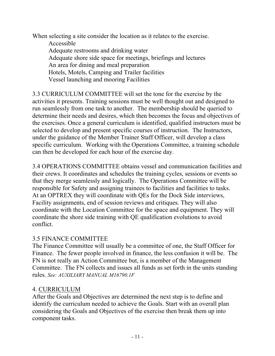When selecting a site consider the location as it relates to the exercise. Accessible Adequate restrooms and drinking water Adequate shore side space for meetings, briefings and lectures An area for dining and meal preparation Hotels, Motels, Camping and Trailer facilities Vessel launching and mooring Facilities

3.3 CURRICULUM COMMITTEE will set the tone for the exercise by the activities it presents. Training sessions must be well thought out and designed to run seamlessly from one task to another. The membership should be queried to determine their needs and desires, which then becomes the focus and objectives of the exercises. Once a general curriculum is identified, qualified instructors must be selected to develop and present specific courses of instruction. The Instructors, under the guidance of the Member Trainer Staff Officer, will develop a class specific curriculum. Working with the Operations Committee, a training schedule can then be developed for each hour of the exercise day.

3.4 OPERATIONS COMMITTEE obtains vessel and communication facilities and their crews. It coordinates and schedules the training cycles, sessions or events so that they merge seamlessly and logically. The Operations Committee will be responsible for Safety and assigning trainees to facilities and facilities to tasks. At an OPTREX they will coordinate with QEs for the Dock Side interviews, Facility assignments, end of session reviews and critiques. They will also coordinate with the Location Committee for the space and equipment. They will coordinate the shore side training with QE qualification evolutions to avoid conflict.

#### 3.5 FINANCE COMMITTEE

The Finance Committee will usually be a committee of one, the Staff Officer for Finance. The fewer people involved in finance, the less confusion it will be. The FN is not really an Action Committee but, is a member of the Management Committee. The FN collects and issues all funds as set forth in the units standing rules. *See: AUXILIARY MANUAL M16790.1F*

#### 4. CURRICULUM

After the Goals and Objectives are determined the next step is to define and identify the curriculum needed to achieve the Goals. Start with an overall plan considering the Goals and Objectives of the exercise then break them up into component tasks.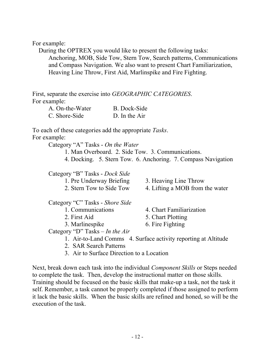For example:

 During the OPTREX you would like to present the following tasks: Anchoring, MOB, Side Tow, Stern Tow, Search patterns, Communications and Compass Navigation. We also want to present Chart Familiarization, Heaving Line Throw, First Aid, Marlinspike and Fire Fighting.

First, separate the exercise into *GEOGRAPHIC CATEGORIES*. For example:

| A. On-the-Water | <b>B.</b> Dock-Side |
|-----------------|---------------------|
| C. Shore-Side   | D. In the Air       |

To each of these categories add the appropriate *Tasks*. For example:

Category "A" Tasks - *On the Water*

1. Man Overboard. 2. Side Tow. 3. Communications.

4. Docking. 5. Stern Tow. 6. Anchoring. 7. Compass Navigation

Category "B" Tasks - *Dock Side*

- Category "C" Tasks *Shore Side*
	-
	-
	-

1. Pre Underway Briefing 3. Heaving Line Throw

2. Stern Tow to Side Tow 4. Lifting a MOB from the water

- 1. Communications 4. Chart Familiarization
- 2. First Aid 5. Chart Plotting
- 3. Marlinespike 6. Fire Fighting

Category "D" Tasks – *In the Air* 

- 1. Air-to-Land Comms 4. Surface activity reporting at Altitude
- 2. SAR Search Patterns
- 3. Air to Surface Direction to a Location

Next, break down each task into the individual *Component Skills* or Steps needed to complete the task. Then, develop the instructional matter on those skills. Training should be focused on the basic skills that make-up a task, not the task it self. Remember, a task cannot be properly completed if those assigned to perform it lack the basic skills. When the basic skills are refined and honed, so will be the execution of the task.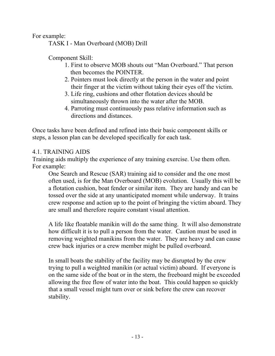For example:

TASK I - Man Overboard (MOB) Drill

Component Skill:

- 1. First to observe MOB shouts out "Man Overboard." That person then becomes the POINTER.
- 2. Pointers must look directly at the person in the water and point their finger at the victim without taking their eyes off the victim.
- 3. Life ring, cushions and other flotation devices should be simultaneously thrown into the water after the MOB.
- 4. Parroting must continuously pass relative information such as directions and distances.

Once tasks have been defined and refined into their basic component skills or steps, a lesson plan can be developed specifically for each task.

#### 4.1. TRAINING AIDS

Training aids multiply the experience of any training exercise. Use them often. For example:

One Search and Rescue (SAR) training aid to consider and the one most often used, is for the Man Overboard (MOB) evolution. Usually this will be a flotation cushion, boat fender or similar item. They are handy and can be tossed over the side at any unanticipated moment while underway. It trains crew response and action up to the point of bringing the victim aboard. They are small and therefore require constant visual attention.

A life like floatable manikin will do the same thing. It will also demonstrate how difficult it is to pull a person from the water. Caution must be used in removing weighted manikins from the water. They are heavy and can cause crew back injuries or a crew member might be pulled overboard.

In small boats the stability of the facility may be disrupted by the crew trying to pull a weighted manikin (or actual victim) aboard. If everyone is on the same side of the boat or in the stern, the freeboard might be exceeded allowing the free flow of water into the boat. This could happen so quickly that a small vessel might turn over or sink before the crew can recover stability.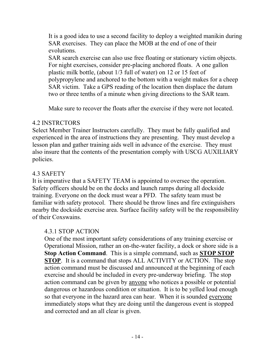It is a good idea to use a second facility to deploy a weighted manikin during SAR exercises. They can place the MOB at the end of one of their evolutions.

SAR search exercise can also use free floating or stationary victim objects. For night exercises, consider pre-placing anchored floats. A one gallon plastic milk bottle, (about 1/3 full of water) on 12 or 15 feet of polypropylene and anchored to the bottom with a weight makes for a cheep SAR victim. Take a GPS reading of the location then displace the datum two or three tenths of a minute when giving directions to the SAR team.

Make sure to recover the floats after the exercise if they were not located.

#### 4.2 INSTRCTORS

Select Member Trainer Instructors carefully. They must be fully qualified and experienced in the area of instructions they are presenting. They must develop a lesson plan and gather training aids well in advance of the exercise. They must also insure that the contents of the presentation comply with USCG AUXILIARY policies.

#### 4.3 SAFETY

It is imperative that a SAFETY TEAM is appointed to oversee the operation. Safety officers should be on the docks and launch ramps during all dockside training. Everyone on the dock must wear a PFD. The safety team must be familiar with safety protocol. There should be throw lines and fire extinguishers nearby the dockside exercise area. Surface facility safety will be the responsibility of their Coxswains.

#### 4.3.1 STOP ACTION

One of the most important safety considerations of any training exercise or Operational Mission, rather an on-the-water facility, a dock or shore side is a **Stop Action Command**. This is a simple command, such as **STOP STOP STOP**. It is a command that stops ALL ACTIVITY or ACTION. The stop action command must be discussed and announced at the beginning of each exercise and should be included in every pre-underway briefing. The stop action command can be given by anyone who notices a possible or potential dangerous or hazardous condition or situation. It is to be yelled loud enough so that everyone in the hazard area can hear. When it is sounded everyone immediately stops what they are doing until the dangerous event is stopped and corrected and an all clear is given.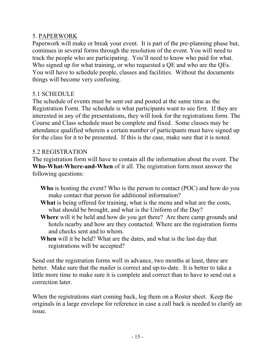#### 5. PAPERWORK

Paperwork will make or break your event. It is part of the pre-planning phase but, continues in several forms through the resolution of the event. You will need to track the people who are participating. You'll need to know who paid for what. Who signed up for what training, or who requested a QE and who are the QEs. You will have to schedule people, classes and facilities. Without the documents things will become very confusing.

#### 5.1 SCHEDULE

The schedule of events must be sent out and posted at the same time as the Registration Form. The schedule is what participants want to see first. If they are interested in any of the presentations, they will look for the registrations form. The Course and Class schedule must be complete and fixed. Some classes may be attendance qualified wherein a certain number of participants must have signed up for the class for it to be presented. If this is the case, make sure that it is noted.

#### 5.2 REGISTRATION

The registration form will have to contain all the information about the event. The **Who-What-Where-and-When** of it all. The registration form must answer the following questions:

- **Who** is hosting the event? Who is the person to contact (POC) and how do you make contact that person for additional information?
- **What** is being offered for training, what is the menu and what are the costs, what should be brought, and what is the Uniform of the Day?
- **Where** will it be held and how do you get there? Are there camp grounds and hotels nearby and how are they contacted. Where are the registration forms and checks sent and to whom.
- **When** will it be held? What are the dates, and what is the last day that registrations will be accepted?

Send out the registration forms well in advance, two months at least, three are better. Make sure that the mailer is correct and up-to-date. It is better to take a little more time to make sure it is complete and correct than to have to send out a correction later.

When the registrations start coming back, log them on a Roster sheet. Keep the originals in a large envelope for reference in case a call back is needed to clarify an issue.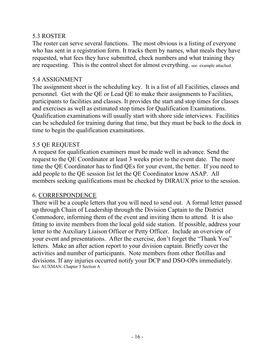#### 5.3 ROSTER

The roster can serve several functions. The most obvious is a listing of everyone who has sent in a registration form. It tracks them by names, what meals they have requested, what fees they have submitted, check numbers and what training they are requesting. This is the control sheet for almost everything. see: example attached.

#### 5.4 ASSIGNMENT

The assignment sheet is the scheduling key. It is a list of all Facilities, classes and personnel. Get with the QE or Lead QE to make their assignments to Facilities, participants to facilities and classes. It provides the start and stop times for classes and exercises as well as estimated stop times for Qualification Examinations. Qualification examinations will usually start with shore side interviews. Facilities can be scheduled for training during that time, but they must be back to the dock in time to begin the qualification examinations.

#### 5.5 QE REQUEST

A request for qualification examiners must be made well in advance. Send the request to the QE Coordinator at least 3 weeks prior to the event date. The more time the QE Coordinator has to find QEs for your event, the better. If you need to add people to the QE session list let the QE Coordinator know ASAP. All members seeking qualifications must be checked by DIRAUX prior to the session.

#### 6. CORRESPONDENCE

There will be a couple letters that you will need to send out. A formal letter passed up through Chain of Leadership through the Division Captain to the District Commodore, informing them of the event and inviting them to attend. It is also fitting to invite members from the local gold side station. If possible, address your letter to the Auxiliary Liaison Officer or Petty Officer. Include an overview of your event and presentations. After the exercise, don't forget the "Thank You" letters. Make an after action report to your division captain. Briefly cover the activities and number of participants. Note members from other flotillas and divisions. If any injuries occurred notify your DCP and DSO-OPs immediately. See: AUXMAN. Chapter 5 Section A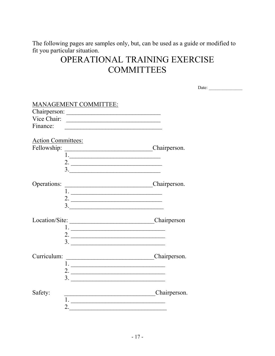The following pages are samples only, but, can be used as a guide or modified to fit you particular situation.

# OPERATIONAL TRAINING EXERCISE **COMMITTEES**

|                           |                                              | Date: $\qquad \qquad$ |
|---------------------------|----------------------------------------------|-----------------------|
|                           |                                              |                       |
|                           | <b>MANAGEMENT COMMITTEE:</b>                 |                       |
|                           |                                              |                       |
|                           | Vice Chair:                                  |                       |
| Finance:                  |                                              |                       |
|                           |                                              |                       |
| <b>Action Committees:</b> |                                              |                       |
| Fellowship:               | Chairperson.                                 |                       |
|                           |                                              |                       |
|                           | 2. $\overline{\qquad \qquad }$               |                       |
|                           |                                              |                       |
|                           |                                              |                       |
| Operations:               | Chairperson.                                 |                       |
|                           |                                              |                       |
|                           | 2. $\overline{\phantom{a}}$                  |                       |
|                           | $\begin{array}{c}\n3.\n\end{array}$          |                       |
|                           | Location/Site: Chairperson                   |                       |
|                           |                                              |                       |
|                           |                                              |                       |
|                           | 2. $\overline{\phantom{a}}$<br>$\frac{3}{2}$ |                       |
|                           |                                              |                       |
| Curriculum:               | Chairperson.                                 |                       |
|                           |                                              |                       |
|                           | 2. $\overline{\phantom{a}}$                  |                       |
|                           | $\frac{3}{2}$                                |                       |
|                           |                                              |                       |
| Safety:                   | Chairperson.                                 |                       |
|                           | $1.$ $\overline{\phantom{a}}$                |                       |
|                           | 2. $\overline{\phantom{a}}$                  |                       |
|                           |                                              |                       |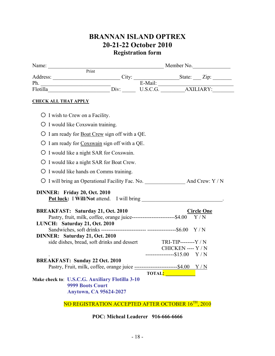# **BRANNAN ISLAND OPTREX 20-21-22 October 2010 Registration form**

|                                                                                   | Name: <u>Print Member No.</u> |                                                                                                                                                                                                                                |                   |  |  |  |  |
|-----------------------------------------------------------------------------------|-------------------------------|--------------------------------------------------------------------------------------------------------------------------------------------------------------------------------------------------------------------------------|-------------------|--|--|--|--|
|                                                                                   |                               |                                                                                                                                                                                                                                |                   |  |  |  |  |
|                                                                                   |                               |                                                                                                                                                                                                                                |                   |  |  |  |  |
| <b>CHECK ALL THAT APPLY</b>                                                       |                               |                                                                                                                                                                                                                                |                   |  |  |  |  |
| $\bigcirc$ I wish to Crew on a Facility.                                          |                               |                                                                                                                                                                                                                                |                   |  |  |  |  |
| O I would like Coxswain training.                                                 |                               |                                                                                                                                                                                                                                |                   |  |  |  |  |
| O I am ready for <b>Boat Crew</b> sign off with a QE.                             |                               |                                                                                                                                                                                                                                |                   |  |  |  |  |
| O I am ready for Coxswain sign off with a QE.                                     |                               |                                                                                                                                                                                                                                |                   |  |  |  |  |
| O I would like a night SAR for Coxswain.                                          |                               |                                                                                                                                                                                                                                |                   |  |  |  |  |
| O I would like a night SAR for Boat Crew.                                         |                               |                                                                                                                                                                                                                                |                   |  |  |  |  |
| O I would like hands on Comms training.                                           |                               |                                                                                                                                                                                                                                |                   |  |  |  |  |
|                                                                                   |                               |                                                                                                                                                                                                                                |                   |  |  |  |  |
| DINNER: Friday 20, Oct. 2010                                                      |                               |                                                                                                                                                                                                                                |                   |  |  |  |  |
|                                                                                   |                               |                                                                                                                                                                                                                                |                   |  |  |  |  |
| <b>BREAKFAST: Saturday 21, Oct. 2010</b>                                          |                               |                                                                                                                                                                                                                                | <b>Circle One</b> |  |  |  |  |
| LUNCH: Saturday 21, Oct. 2010                                                     |                               |                                                                                                                                                                                                                                |                   |  |  |  |  |
|                                                                                   |                               |                                                                                                                                                                                                                                |                   |  |  |  |  |
| DINNER: Saturday 21, Oct. 2010                                                    |                               |                                                                                                                                                                                                                                |                   |  |  |  |  |
| side dishes, bread, soft drinks and dessert TRI-TIP--------Y / N                  |                               |                                                                                                                                                                                                                                |                   |  |  |  |  |
|                                                                                   |                               | CHICKEN ---- Y / N                                                                                                                                                                                                             |                   |  |  |  |  |
| <b>BREAKFAST: Sunday 22 Oct. 2010</b>                                             |                               | $------$15.00 Y/N$                                                                                                                                                                                                             |                   |  |  |  |  |
| Pastry, Fruit, milk, coffee, orange juice ---------------------------\$4.00 $Y/N$ |                               |                                                                                                                                                                                                                                |                   |  |  |  |  |
|                                                                                   |                               |                                                                                                                                                                                                                                |                   |  |  |  |  |
|                                                                                   |                               |                                                                                                                                                                                                                                |                   |  |  |  |  |
| <b>9999 Boots Court</b>                                                           |                               |                                                                                                                                                                                                                                |                   |  |  |  |  |
| <b>Anytown, CA 95624-2027</b>                                                     |                               |                                                                                                                                                                                                                                |                   |  |  |  |  |
| Make check to: U.S.C.G. Auxiliary Flotilla 3-10                                   |                               | TOTAL: THE RESERVE TO THE RESERVE TO THE RESERVE THAT A RESERVE THE RESERVE THAT A RESERVE THAT A RESERVE THAT A RESERVE THAT A RESERVE THAT A RESERVE THAT A RESERVE THAT A RESERVE THAT A RESERVE THAT A RESERVE THAT A RESE |                   |  |  |  |  |

NO REGISTRATION ACCEPTED AFTER OCTOBER 16<sup>TH</sup>, 2010

**POC: Micheal Leaderer 916-666-6666**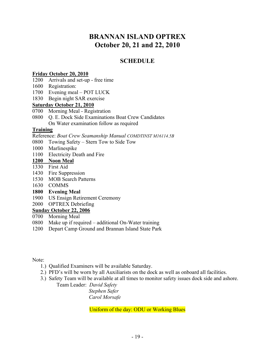# **BRANNAN ISLAND OPTREX October 20, 21 and 22, 2010**

#### **SCHEDULE**

#### **Friday October 20, 2010**

- 1200 Arrivals and set-up free time
- 1600 Registration:
- 1700 Evening meal POT LUCK
- 1830 Begin night SAR exercise

#### **Saturday October 21, 2010**

- 0700 Morning Meal Registration
- 0800 Q. E. Dock Side Examinations Boat Crew Candidates On Water examination follow as required

#### **Training**

Reference: *Boat Crew Seamanship Manual COMDTINST M16114.5B*

- 0800 Towing Safety Stern Tow to Side Tow
- 1000 Marlinespike
- 1100 Electricity Death and Fire

#### **1200 Noon Meal**

- 1330 First Aid
- 1430 Fire Suppression
- 1530 MOB Search Patterns
- 1630 COMMS
- **1800 Evening Meal**
- 1900 US Ensign Retirement Ceremony
- 2000 OPTREX Debriefing

#### **Sunday October 22, 2006**

- 0700 Morning Meal
- 0800 Make up if required additional On-Water training
- 1200 Depart Camp Ground and Brannan Island State Park

Note:

- 1.) Qualified Examiners will be available Saturday.
- 2.) PFD's will be worn by all Auxiliarists on the dock as well as onboard all facilities.
- 3.) Safety Team will be available at all times to monitor safety issues dock side and ashore.

Team Leader: *David Safety* 

 *Stephen Safer Carol Morsafe*

Uniform of the day: ODU or Working Blues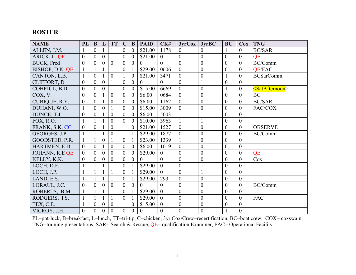#### **ROSTER**

| <b>NAME</b>        | PL               | B                | L                | <b>TT</b>        | $\mathbf C$      | B                | <b>PAID</b>      | CK#              | 3yrCox           | 3yrBC            | <b>BC</b>        | Cox              | <b>TNG</b>                    |
|--------------------|------------------|------------------|------------------|------------------|------------------|------------------|------------------|------------------|------------------|------------------|------------------|------------------|-------------------------------|
| ALLEN, J.M.        |                  | $\overline{0}$   |                  |                  | $\theta$         | $\theta$         | \$21.00          | 1178             | $\overline{0}$   | $\theta$         |                  | $\overline{0}$   | <b>BC/SAR</b>                 |
| ARICK, L. QE       | $\overline{0}$   | $\overline{0}$   | $\theta$         |                  | $\overline{0}$   | $\theta$         | \$21.00          | $\mathbf{0}$     | $\mathbf{0}$     | $\boldsymbol{0}$ | $\overline{0}$   | $\overline{0}$   | QE                            |
| <b>BUCK</b> , Fred | $\overline{0}$   | $\overline{0}$   | $\overline{0}$   | $\overline{0}$   | $\boldsymbol{0}$ | $\overline{0}$   | $\boldsymbol{0}$ | $\overline{0}$   | $\boldsymbol{0}$ | $\boldsymbol{0}$ | $\overline{0}$   | $\overline{0}$   | BC/Comm                       |
| BISHOP, D.K. QE    | $\mathbf{1}$     |                  | $\mathbf{1}$     | $\mathbf{1}$     | $\mathbf{0}$     |                  | \$29.00          | 0606             | $\overline{0}$   | $\boldsymbol{0}$ | $\boldsymbol{0}$ | $\overline{0}$   | <b>QE/FAC</b>                 |
| CANTON, L.B.       | $\mathbf{1}$     | $\overline{0}$   |                  | $\boldsymbol{0}$ | $\mathbf{1}$     | $\overline{0}$   | \$21.00          | 3471             | $\boldsymbol{0}$ | $\boldsymbol{0}$ |                  | $\overline{0}$   | <b>BCSarComm</b>              |
| CLIFFORT, D        | $\boldsymbol{0}$ | $\overline{0}$   | $\overline{0}$   |                  | $\boldsymbol{0}$ | $\theta$         | $\overline{0}$   | $\overline{0}$   | $\mathbf{0}$     | $\mathbf{1}$     | $\boldsymbol{0}$ | $\boldsymbol{0}$ |                               |
| COHEICL, B.D.      | $\boldsymbol{0}$ | $\overline{0}$   | $\boldsymbol{0}$ |                  | $\boldsymbol{0}$ | $\overline{0}$   | \$15.00          | 6669             | $\boldsymbol{0}$ | $\boldsymbol{0}$ |                  | $\boldsymbol{0}$ | <satafternoon></satafternoon> |
| COX, V.            | $\overline{0}$   | $\overline{0}$   |                  | $\boldsymbol{0}$ | $\overline{0}$   | $\overline{0}$   | \$6.00           | 0684             | $\boldsymbol{0}$ | $\boldsymbol{0}$ | $\overline{0}$   | $\theta$         | <b>BC</b>                     |
| CUBIQUE, R.Y.      | $\boldsymbol{0}$ | $\boldsymbol{0}$ |                  | $\boldsymbol{0}$ | $\boldsymbol{0}$ | $\overline{0}$   | \$6.00           | 1162             | $\boldsymbol{0}$ | $\boldsymbol{0}$ | $\overline{0}$   | $\boldsymbol{0}$ | <b>BC/SAR</b>                 |
| DUHANI, W.O.       |                  | $\overline{0}$   | $\overline{0}$   |                  | $\boldsymbol{0}$ | $\overline{0}$   | \$15.00          | 3009             | $\boldsymbol{0}$ | $\boldsymbol{0}$ | $\overline{0}$   | $\overline{0}$   | FAC/COX                       |
| DUNCE, T.J.        | $\mathbf{0}$     | $\boldsymbol{0}$ |                  | $\mathbf{0}$     | $\mathbf{0}$     | $\overline{0}$   | \$6.00           | 5003             | $\mathbf{1}$     | $\mathbf{1}$     | $\boldsymbol{0}$ | $\overline{0}$   |                               |
| FOX, R.O.          | $\mathbf{1}$     |                  | 1                | $\boldsymbol{0}$ | $\boldsymbol{0}$ | $\boldsymbol{0}$ | \$10.00          | 3963             | $\mathbf{1}$     | $\mathbf{1}$     | $\overline{0}$   | $\overline{0}$   |                               |
| FRANK, S.K. CG     | $\mathbf{0}$     | $\boldsymbol{0}$ |                  | $\boldsymbol{0}$ | $\mathbf{1}$     | $\boldsymbol{0}$ | \$21.00          | 1527             | $\boldsymbol{0}$ | $\mathbf{0}$     | $\overline{0}$   | $\boldsymbol{0}$ | <b>OBSERVE</b>                |
| GEORGES, J.P.      | $\mathbf{1}$     |                  |                  | $\boldsymbol{0}$ | $\mathbf{1}$     |                  | \$29.00          | 1877             | $\boldsymbol{0}$ | $\boldsymbol{0}$ | $\overline{0}$   | $\overline{0}$   | BC/Comm                       |
| GOODSTED, P.R.     | $\mathbf{1}$     |                  | $\overline{0}$   | 1                | $\overline{0}$   |                  | \$23.00          | 1339             | $\mathbf{1}$     | $\boldsymbol{0}$ | $\overline{0}$   | $\theta$         |                               |
| HARTMEN, E.D.      | $\overline{0}$   | $\overline{0}$   |                  | $\overline{0}$   | $\overline{0}$   | $\overline{0}$   | \$6.00           | 1019             | $\overline{0}$   | $\overline{0}$   | $\overline{0}$   | $\overline{0}$   |                               |
| JOHANN, R.E QE     | $\overline{0}$   | $\theta$         | $\theta$         | $\boldsymbol{0}$ | $\theta$         | $\overline{0}$   | \$29.00          | $\overline{0}$   | $\overline{0}$   | $\boldsymbol{0}$ | $\overline{0}$   | $\overline{0}$   | QE                            |
| KELLY, K.K.        | $\theta$         | $\theta$         | 0                | $\overline{0}$   | $\theta$         | $\overline{0}$   | $\overline{0}$   | $\overline{0}$   | $\overline{0}$   | $\boldsymbol{0}$ | $\overline{0}$   | $\overline{0}$   | Cox                           |
| LOCH, D.F.         |                  |                  |                  |                  | $\overline{0}$   |                  | \$29.00          | $\overline{0}$   | $\boldsymbol{0}$ | $\mathbf{1}$     | $\overline{0}$   | $\theta$         |                               |
| LOCH, J.P.         |                  |                  |                  |                  | $\boldsymbol{0}$ |                  | \$29.00          | $\theta$         | $\boldsymbol{0}$ | $\mathbf{1}$     | $\overline{0}$   | $\theta$         |                               |
| LAND, E.S.         |                  |                  |                  |                  | $\overline{0}$   |                  | \$29.00          | 293              | $\boldsymbol{0}$ | $\boldsymbol{0}$ | $\overline{0}$   | $\overline{0}$   |                               |
| LORAUL, J.C.       | $\overline{0}$   | $\overline{0}$   | $\theta$         | $\mathbf{0}$     | $\boldsymbol{0}$ | $\overline{0}$   | $\theta$         | $\theta$         | $\boldsymbol{0}$ | $\mathbf{0}$     | $\overline{0}$   | $\overline{0}$   | BC/Comm                       |
| ROBERTS, B.M.      | $\mathbf{1}$     |                  |                  |                  | $\boldsymbol{0}$ |                  | \$29.00          | $\theta$         | $\mathbf{0}$     | $\overline{0}$   | $\overline{0}$   | $\mathbf{0}$     |                               |
| RODGERS, I.S.      | $\mathbf{1}$     |                  |                  |                  | $\mathbf{0}$     |                  | \$29.00          | $\mathbf{0}$     | $\boldsymbol{0}$ | $\boldsymbol{0}$ | $\boldsymbol{0}$ | $\overline{0}$   | <b>FAC</b>                    |
| TEX, C.E.          |                  | $\theta$         | $\mathbf{0}$     | $\boldsymbol{0}$ | $\mathbf{1}$     | $\overline{0}$   | \$15.00          | $\overline{0}$   | $\boldsymbol{0}$ | $\boldsymbol{0}$ | $\boldsymbol{0}$ | $\overline{0}$   |                               |
| VICROY, J.H.       | $\mathbf{0}$     | $\boldsymbol{0}$ | $\boldsymbol{0}$ | $\boldsymbol{0}$ | $\boldsymbol{0}$ | $\boldsymbol{0}$ | $\boldsymbol{0}$ | $\boldsymbol{0}$ | $\boldsymbol{0}$ | $\mathbf{0}$     |                  | $\boldsymbol{0}$ |                               |

PL=pot-luck, B=breakfast, L=lunch, TT=tri-tip, C=chicken, 3yr Cox/Crew=recertification, BC=boat crew, COX= coxswain, TNG=training presentations, SAR= Search & Rescue, QE= qualification Examiner, FAC= Operational Facility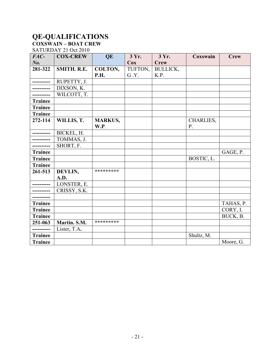# **QE-QUALIFICATIONS**

#### **COXSWAIN – BOAT CREW**  SATURDAY 21 Oct 2010

| FAC-           | <b>COX-CREW</b> | QE             | 3 Yr.   | 3 Yr.           | Coxswain   | <b>Crew</b> |
|----------------|-----------------|----------------|---------|-----------------|------------|-------------|
| $N0$ .         |                 |                | Cox     | <b>Crew</b>     |            |             |
| 281-322        | SMITH. R.E.     | COLTON,        | TUFTON, | <b>BULLICK,</b> |            |             |
|                |                 | <b>P.H.</b>    | G.Y.    | K.P.            |            |             |
| -----------    | RUPETTY, J.     |                |         |                 |            |             |
| __________     | DIXSON, K.      |                |         |                 |            |             |
| ----------     | WILCOTT, T.     |                |         |                 |            |             |
| <b>Trainee</b> |                 |                |         |                 |            |             |
| <b>Trainee</b> |                 |                |         |                 |            |             |
| <b>Trainee</b> |                 |                |         |                 |            |             |
| 272-114        | WILLIS, T.      | <b>MARKUS,</b> |         |                 | CHARLIES,  |             |
|                |                 | W.P.           |         |                 | P.         |             |
|                | BICKEL, H.      |                |         |                 |            |             |
| ----------     | TOMMAS, J.      |                |         |                 |            |             |
| -----------    | SHORT, F.       |                |         |                 |            |             |
| <b>Trainee</b> |                 |                |         |                 |            | GAGE, P.    |
| <b>Trainee</b> |                 |                |         |                 | BOSTIC, L. |             |
| Trainee        |                 |                |         |                 |            |             |
| 261-513        | DEVLIN,         | *********      |         |                 |            |             |
|                | A.D.            |                |         |                 |            |             |
|                | LONSTER, E.     |                |         |                 |            |             |
|                | CRISSY, S.K.    |                |         |                 |            |             |
| ----------     |                 |                |         |                 |            |             |
| <b>Trainee</b> |                 |                |         |                 |            | TAHAS, P.   |
| <b>Trainee</b> |                 |                |         |                 |            | CORY, I.    |
| <b>Trainee</b> |                 |                |         |                 |            | BUCK, B.    |
| 251-063        | Martin. S.M.    | *********      |         |                 |            |             |
|                | Lister, T.A.    |                |         |                 |            |             |
| <b>Trainee</b> |                 |                |         |                 | Shultz, M. |             |
| <b>Trainee</b> |                 |                |         |                 |            | Moore, G.   |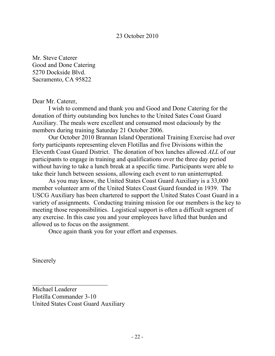#### 23 October 2010

Mr. Steve Caterer Good and Done Catering 5270 Dockside Blvd. Sacramento, CA 95822

Dear Mr. Caterer,

 I wish to commend and thank you and Good and Done Catering for the donation of thirty outstanding box lunches to the United Sates Coast Guard Auxiliary. The meals were excellent and consumed most edaciously by the members during training Saturday 21 October 2006.

 Our October 2010 Brannan Island Operational Training Exercise had over forty participants representing eleven Flotillas and five Divisions within the Eleventh Coast Guard District. The donation of box lunches allowed *ALL* of our participants to engage in training and qualifications over the three day period without having to take a lunch break at a specific time. Participants were able to take their lunch between sessions, allowing each event to run uninterrupted.

 As you may know, the United States Coast Guard Auxiliary is a 33,000 member volunteer arm of the United States Coast Guard founded in 1939. The USCG Auxiliary has been chartered to support the United States Coast Guard in a variety of assignments. Conducting training mission for our members is the key to meeting those responsibilities. Logistical support is often a difficult segment of any exercise. In this case you and your employees have lifted that burden and allowed us to focus on the assignment.

Once again thank you for your effort and expenses.

Sincerely

Michael Leaderer Flotilla Commander 3-10 United States Coast Guard Auxiliary

 $\overline{\phantom{a}}$  , where  $\overline{\phantom{a}}$  , where  $\overline{\phantom{a}}$  , where  $\overline{\phantom{a}}$